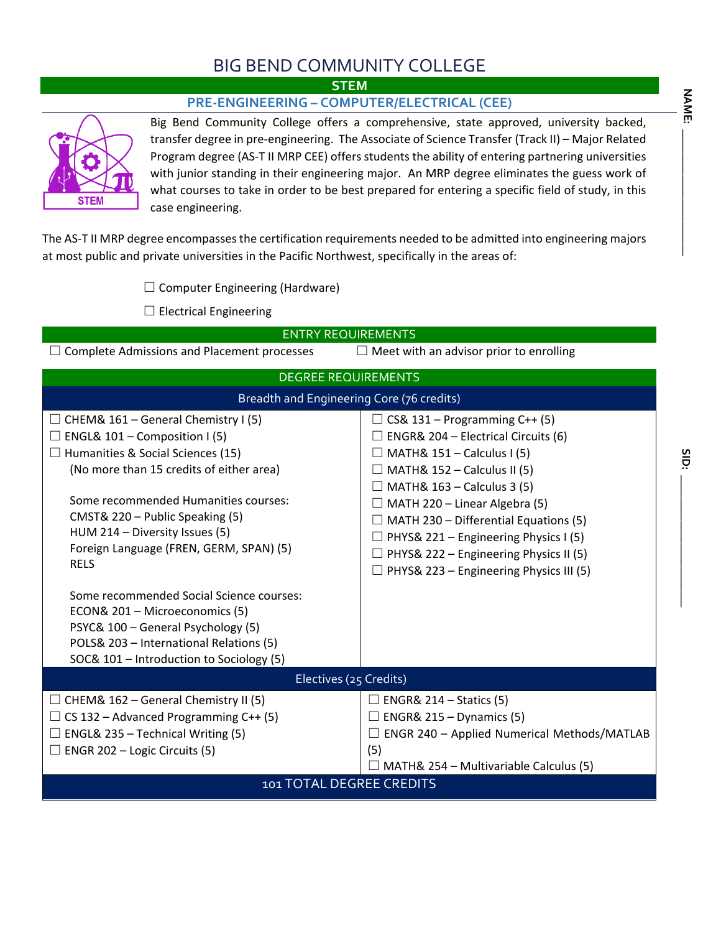## BIG BEND COMMUNITY COLLEGE

**STEM**

## **PRE-ENGINEERING – COMPUTER/ELECTRICAL (CEE)**



Big Bend Community College offers a comprehensive, state approved, university backed, transfer degree in pre-engineering. The Associate of Science Transfer (Track II) – Major Related Program degree (AS-T II MRP CEE) offers students the ability of entering partnering universities with junior standing in their engineering major. An MRP degree eliminates the guess work of what courses to take in order to be best prepared for entering a specific field of study, in this case engineering.

The AS-T II MRP degree encompasses the certification requirements needed to be admitted into engineering majors at most public and private universities in the Pacific Northwest, specifically in the areas of:

 $\Box$  Computer Engineering (Hardware)

 $\Box$  Electrical Engineering

| <b>ENTRY REQUIREMENTS</b>                                                                            |                                                |  |  |  |  |  |  |
|------------------------------------------------------------------------------------------------------|------------------------------------------------|--|--|--|--|--|--|
| $\Box$ Meet with an advisor prior to enrolling<br>$\Box$ Complete Admissions and Placement processes |                                                |  |  |  |  |  |  |
| <b>DEGREE REQUIREMENTS</b>                                                                           |                                                |  |  |  |  |  |  |
| Breadth and Engineering Core (76 credits)                                                            |                                                |  |  |  |  |  |  |
| $\Box$ CHEM& 161 – General Chemistry I (5)                                                           | $\Box$ CS& 131 – Programming C++ (5)           |  |  |  |  |  |  |
| $\Box$ ENGL& 101 – Composition I (5)                                                                 | $\Box$ ENGR& 204 – Electrical Circuits (6)     |  |  |  |  |  |  |
| $\Box$ Humanities & Social Sciences (15)                                                             | $\Box$ MATH& 151 – Calculus I (5)              |  |  |  |  |  |  |
| (No more than 15 credits of either area)                                                             | $\Box$ MATH& 152 – Calculus II (5)             |  |  |  |  |  |  |
|                                                                                                      | $\Box$ MATH& 163 - Calculus 3 (5)              |  |  |  |  |  |  |
| Some recommended Humanities courses:                                                                 | $\Box$ MATH 220 – Linear Algebra (5)           |  |  |  |  |  |  |
| CMST& 220 - Public Speaking (5)                                                                      | $\Box$ MATH 230 – Differential Equations (5)   |  |  |  |  |  |  |
| HUM 214 - Diversity Issues (5)                                                                       | $\Box$ PHYS& 221 – Engineering Physics I (5)   |  |  |  |  |  |  |
| Foreign Language (FREN, GERM, SPAN) (5)                                                              | $\Box$ PHYS& 222 – Engineering Physics II (5)  |  |  |  |  |  |  |
| <b>RELS</b>                                                                                          | $\Box$ PHYS& 223 – Engineering Physics III (5) |  |  |  |  |  |  |
| Some recommended Social Science courses:                                                             |                                                |  |  |  |  |  |  |
| ECON& 201 - Microeconomics (5)                                                                       |                                                |  |  |  |  |  |  |
| PSYC& 100 - General Psychology (5)                                                                   |                                                |  |  |  |  |  |  |
| POLS& 203 - International Relations (5)                                                              |                                                |  |  |  |  |  |  |
| SOC& 101 - Introduction to Sociology (5)                                                             |                                                |  |  |  |  |  |  |
| Electives (25 Credits)                                                                               |                                                |  |  |  |  |  |  |
| $\Box$ CHEM& 162 – General Chemistry II (5)                                                          | $\Box$ ENGR& 214 – Statics (5)                 |  |  |  |  |  |  |
| $\Box$ CS 132 – Advanced Programming C++ (5)                                                         | $\Box$ ENGR& 215 – Dynamics (5)                |  |  |  |  |  |  |
| $\Box$ ENGL& 235 – Technical Writing (5)                                                             | ENGR 240 - Applied Numerical Methods/MATLAB    |  |  |  |  |  |  |
| $\Box$ ENGR 202 – Logic Circuits (5)                                                                 | (5)                                            |  |  |  |  |  |  |
|                                                                                                      | $\Box$ MATH& 254 – Multivariable Calculus (5)  |  |  |  |  |  |  |
| 101 TOTAL DEGREE CREDITS                                                                             |                                                |  |  |  |  |  |  |

**SID: \_\_\_\_\_\_\_\_\_\_\_\_\_\_\_\_\_\_\_\_\_\_\_**

SID: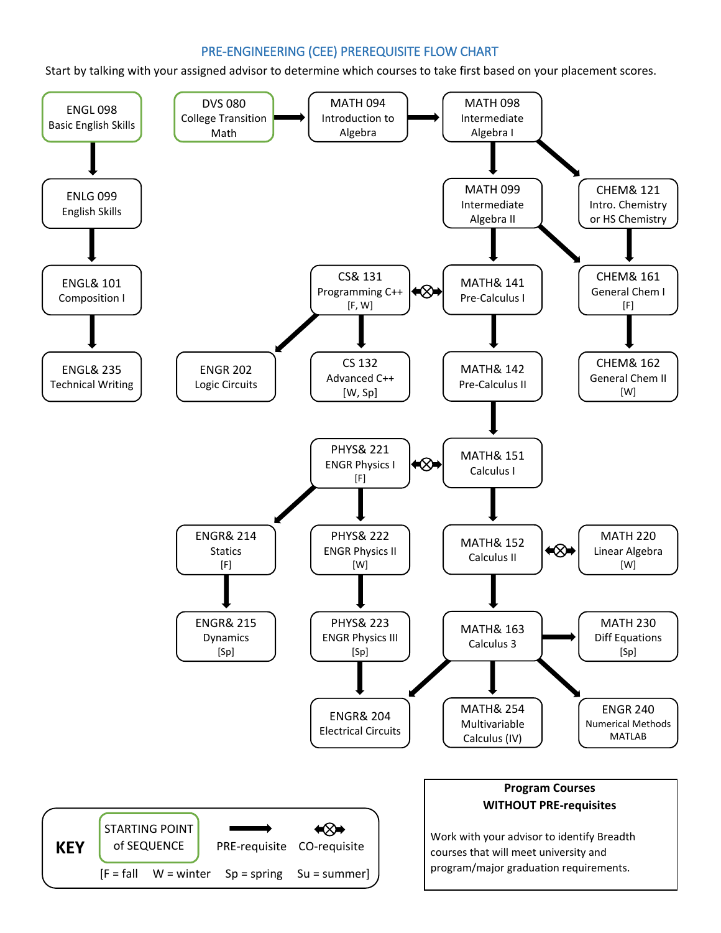## PRE-ENGINEERING (CEE) PREREQUISITE FLOW CHART

Start by talking with your assigned advisor to determine which courses to take first based on your placement scores.

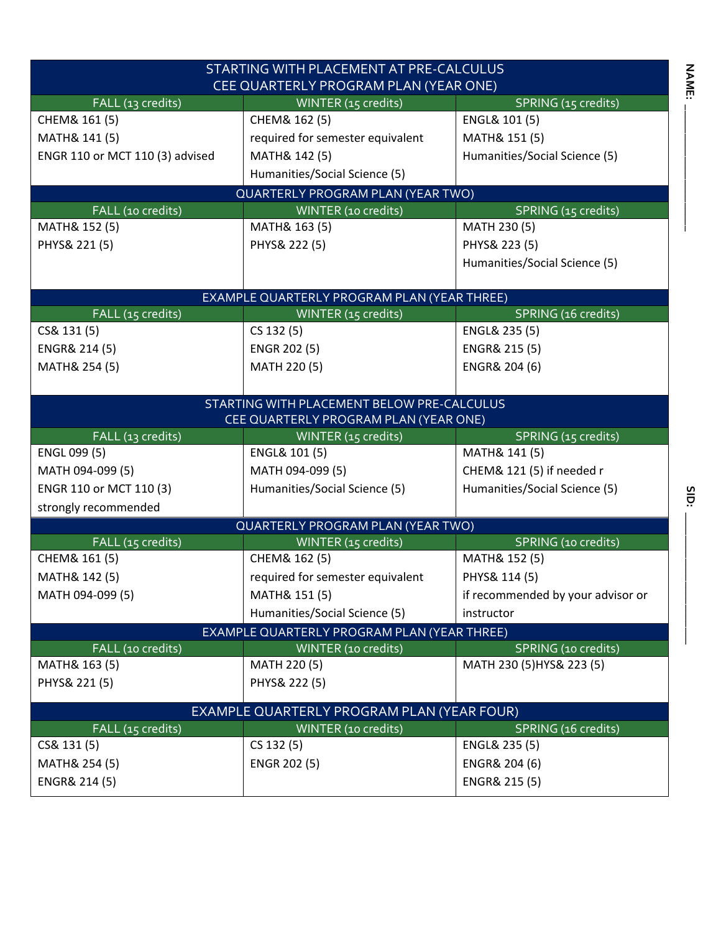| STARTING WITH PLACEMENT AT PRE-CALCULUS     |                                                    |                                   |  |  |  |  |  |  |  |  |
|---------------------------------------------|----------------------------------------------------|-----------------------------------|--|--|--|--|--|--|--|--|
| CEE QUARTERLY PROGRAM PLAN (YEAR ONE)       |                                                    |                                   |  |  |  |  |  |  |  |  |
| FALL (13 credits)                           | WINTER (15 credits)                                | SPRING (15 credits)               |  |  |  |  |  |  |  |  |
| CHEM& 161 (5)                               | CHEM& 162 (5)                                      | ENGL& 101 (5)                     |  |  |  |  |  |  |  |  |
| MATH& 141 (5)                               | required for semester equivalent                   | MATH& 151 (5)                     |  |  |  |  |  |  |  |  |
| ENGR 110 or MCT 110 (3) advised             | MATH& 142 (5)                                      | Humanities/Social Science (5)     |  |  |  |  |  |  |  |  |
|                                             | Humanities/Social Science (5)                      |                                   |  |  |  |  |  |  |  |  |
| <b>QUARTERLY PROGRAM PLAN (YEAR TWO)</b>    |                                                    |                                   |  |  |  |  |  |  |  |  |
| FALL (10 credits)                           | SPRING (15 credits)<br>WINTER (10 credits)         |                                   |  |  |  |  |  |  |  |  |
| MATH& 152 (5)                               | MATH& 163 (5)                                      | MATH 230 (5)                      |  |  |  |  |  |  |  |  |
| PHYS& 221 (5)                               | PHYS& 222 (5)                                      | PHYS& 223 (5)                     |  |  |  |  |  |  |  |  |
|                                             |                                                    | Humanities/Social Science (5)     |  |  |  |  |  |  |  |  |
|                                             |                                                    |                                   |  |  |  |  |  |  |  |  |
|                                             | <b>EXAMPLE QUARTERLY PROGRAM PLAN (YEAR THREE)</b> |                                   |  |  |  |  |  |  |  |  |
| FALL (15 credits)                           | WINTER (15 credits)                                | SPRING (16 credits)               |  |  |  |  |  |  |  |  |
| CS& 131 (5)                                 | CS 132 (5)                                         | ENGL& 235 (5)                     |  |  |  |  |  |  |  |  |
| ENGR& 214 (5)                               | ENGR 202 (5)                                       | ENGR& 215 (5)                     |  |  |  |  |  |  |  |  |
| MATH& 254 (5)                               | MATH 220 (5)                                       | ENGR& 204 (6)                     |  |  |  |  |  |  |  |  |
|                                             |                                                    |                                   |  |  |  |  |  |  |  |  |
|                                             | STARTING WITH PLACEMENT BELOW PRE-CALCULUS         |                                   |  |  |  |  |  |  |  |  |
|                                             | CEE QUARTERLY PROGRAM PLAN (YEAR ONE)              |                                   |  |  |  |  |  |  |  |  |
| FALL (13 credits)                           | WINTER (15 credits)                                | SPRING (15 credits)               |  |  |  |  |  |  |  |  |
| ENGL 099 (5)                                | ENGL& 101 (5)                                      | MATH& 141 (5)                     |  |  |  |  |  |  |  |  |
| MATH 094-099 (5)                            | MATH 094-099 (5)                                   | CHEM& 121 (5) if needed r         |  |  |  |  |  |  |  |  |
| ENGR 110 or MCT 110 (3)                     | Humanities/Social Science (5)                      | Humanities/Social Science (5)     |  |  |  |  |  |  |  |  |
| strongly recommended                        |                                                    |                                   |  |  |  |  |  |  |  |  |
|                                             | QUARTERLY PROGRAM PLAN (YEAR TWO)                  |                                   |  |  |  |  |  |  |  |  |
| FALL (15 credits)                           | WINTER (15 credits)                                | SPRING (10 credits)               |  |  |  |  |  |  |  |  |
| CHEM& 161 (5)                               | CHEM& 162 (5)                                      | MATH& 152 (5)                     |  |  |  |  |  |  |  |  |
| MATH& 142 (5)                               | required for semester equivalent                   | PHYS& 114 (5)                     |  |  |  |  |  |  |  |  |
| MATH 094-099 (5)                            | MATH& 151 (5)                                      | if recommended by your advisor or |  |  |  |  |  |  |  |  |
|                                             | Humanities/Social Science (5)                      | instructor                        |  |  |  |  |  |  |  |  |
| EXAMPLE QUARTERLY PROGRAM PLAN (YEAR THREE) |                                                    |                                   |  |  |  |  |  |  |  |  |
| FALL (10 credits)                           | WINTER (10 credits)                                | SPRING (10 credits)               |  |  |  |  |  |  |  |  |
| MATH& 163 (5)                               | MATH 220 (5)                                       | MATH 230 (5) HYS& 223 (5)         |  |  |  |  |  |  |  |  |
| PHYS& 221 (5)                               | PHYS& 222 (5)                                      |                                   |  |  |  |  |  |  |  |  |
| EXAMPLE QUARTERLY PROGRAM PLAN (YEAR FOUR)  |                                                    |                                   |  |  |  |  |  |  |  |  |
| FALL (15 credits)                           | WINTER (10 credits)                                | SPRING (16 credits)               |  |  |  |  |  |  |  |  |
| CS& 131 (5)                                 | CS 132 (5)                                         | ENGL& 235 (5)                     |  |  |  |  |  |  |  |  |
| MATH& 254 (5)                               | <b>ENGR 202 (5)</b>                                | ENGR& 204 (6)                     |  |  |  |  |  |  |  |  |
| ENGR& 214 (5)                               |                                                    | ENGR& 215 (5)                     |  |  |  |  |  |  |  |  |
|                                             |                                                    |                                   |  |  |  |  |  |  |  |  |

**NAME: \_\_\_\_\_\_\_\_\_\_\_\_\_\_\_\_\_\_\_\_\_\_**

**NAME:**